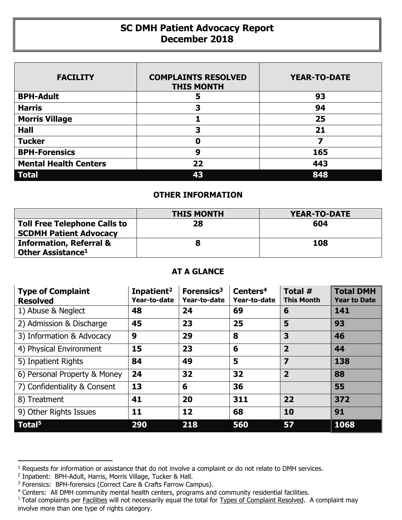## **SC DMH Patient Advocacy Report December 2018**

| <b>FACILITY</b>              | <b>COMPLAINTS RESOLVED</b><br><b>THIS MONTH</b> | <b>YEAR-TO-DATE</b> |
|------------------------------|-------------------------------------------------|---------------------|
| <b>BPH-Adult</b>             | 5                                               | 93                  |
| <b>Harris</b>                | 3                                               | 94                  |
| <b>Morris Village</b>        |                                                 | 25                  |
| <b>Hall</b>                  | 3                                               | 21                  |
| <b>Tucker</b>                | Ω                                               | 7                   |
| <b>BPH-Forensics</b>         | 9                                               | 165                 |
| <b>Mental Health Centers</b> | 22                                              | 443                 |
| <b>Total</b>                 | 43                                              | 848                 |

## **OTHER INFORMATION**

|                                                                      | <b>THIS MONTH</b> | <b>YEAR-TO-DATE</b> |
|----------------------------------------------------------------------|-------------------|---------------------|
| <b>Toll Free Telephone Calls to</b><br><b>SCDMH Patient Advocacy</b> | 28                | 604                 |
| <b>Information, Referral &amp;</b><br>Other Assistance <sup>1</sup>  |                   | 108                 |

## **AT A GLANCE**

| <b>Type of Complaint</b><br><b>Resolved</b> | Inpatient <sup>2</sup><br>Year-to-date | Forensics <sup>3</sup><br>Year-to-date | Centers <sup>4</sup><br>Year-to-date | Total #<br><b>This Month</b> | <b>Total DMH</b><br><b>Year to Date</b> |
|---------------------------------------------|----------------------------------------|----------------------------------------|--------------------------------------|------------------------------|-----------------------------------------|
| 1) Abuse & Neglect                          | 48                                     | 24                                     | 69                                   | 6                            | 141                                     |
| 2) Admission & Discharge                    | 45                                     | 23                                     | 25                                   | 5                            | 93                                      |
| 3) Information & Advocacy                   | 9                                      | 29                                     | 8                                    | 3                            | 46                                      |
| 4) Physical Environment                     | 15                                     | 23                                     | 6                                    | $\overline{2}$               | 44                                      |
| 5) Inpatient Rights                         | 84                                     | 49                                     | 5                                    | $\overline{\mathbf{z}}$      | 138                                     |
| 6) Personal Property & Money                | 24                                     | 32                                     | 32                                   | $\overline{2}$               | 88                                      |
| 7) Confidentiality & Consent                | 13                                     | 6                                      | 36                                   |                              | 55                                      |
| 8) Treatment                                | 41                                     | 20                                     | 311                                  | 22                           | 372                                     |
| 9) Other Rights Issues                      | 11                                     | 12                                     | 68                                   | 10                           | 91                                      |
| Total <sup>5</sup>                          | 290                                    | 218                                    | 560                                  | 57                           | 1068                                    |

 $\overline{a}$ 

<sup>&</sup>lt;sup>1</sup> Requests for information or assistance that do not involve a complaint or do not relate to DMH services.

<sup>2</sup> Inpatient: BPH-Adult, Harris, Morris Village, Tucker & Hall.

<sup>&</sup>lt;sup>3</sup> Forensics: BPH-forensics (Correct Care & Crafts Farrow Campus).

<sup>&</sup>lt;sup>4</sup> Centers: All DMH community mental health centers, programs and community residential facilities.

<sup>&</sup>lt;sup>5</sup> Total complaints per Facilities will not necessarily equal the total for Types of Complaint Resolved. A complaint may involve more than one type of rights category.